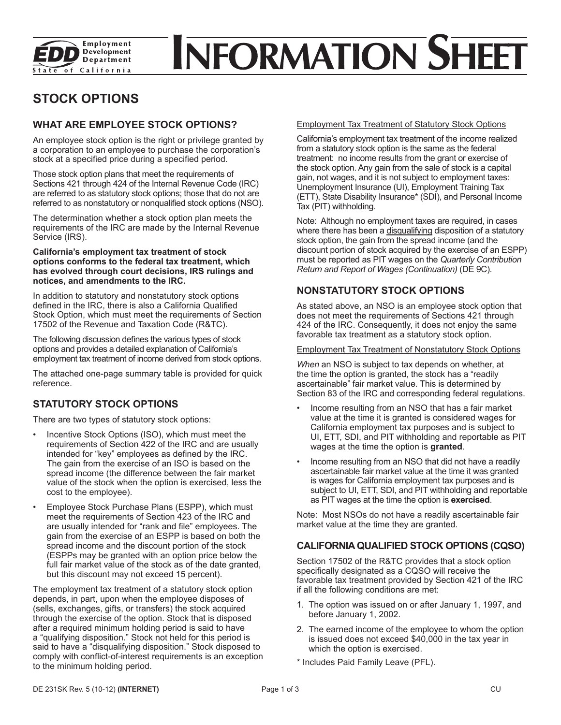

# **NFORMATION SHEET**

## **STOCK OPTIONS**

## **WHAT ARE EMPLOYEE STOCK OPTIONS?**

An employee stock option is the right or privilege granted by a corporation to an employee to purchase the corporation's stock at a specified price during a specified period.

Those stock option plans that meet the requirements of Sections 421 through 424 of the Internal Revenue Code (IRC) are referred to as statutory stock options; those that do not are referred to as nonstatutory or nonqualified stock options (NSO).

The determination whether a stock option plan meets the requirements of the IRC are made by the Internal Revenue Service (IRS).

#### **California's employment tax treatment of stock options conforms to the federal tax treatment, which has evolved through court decisions, IRS rulings and notices, and amendments to the IRC.**

In addition to statutory and nonstatutory stock options defined in the IRC, there is also a California Qualified Stock Option, which must meet the requirements of Section 17502 of the Revenue and Taxation Code (R&TC).

The following discussion defines the various types of stock options and provides a detailed explanation of California's employment tax treatment of income derived from stock options.

The attached one-page summary table is provided for quick reference.

## **STATUTORY STOCK OPTIONS**

There are two types of statutory stock options:

- Incentive Stock Options (ISO), which must meet the requirements of Section 422 of the IRC and are usually intended for "key" employees as defined by the IRC. The gain from the exercise of an ISO is based on the spread income (the difference between the fair market value of the stock when the option is exercised, less the cost to the employee).
- Employee Stock Purchase Plans (ESPP), which must meet the requirements of Section 423 of the IRC and are usually intended for "rank and file" employees. The gain from the exercise of an ESPP is based on both the spread income and the discount portion of the stock (ESPPs may be granted with an option price below the full fair market value of the stock as of the date granted, but this discount may not exceed 15 percent).

The employment tax treatment of a statutory stock option depends, in part, upon when the employee disposes of (sells, exchanges, gifts, or transfers) the stock acquired through the exercise of the option. Stock that is disposed after a required minimum holding period is said to have a "qualifying disposition." Stock not held for this period is said to have a "disqualifying disposition." Stock disposed to comply with conflict-of-interest requirements is an exception to the minimum holding period.

#### Employment Tax Treatment of Statutory Stock Options

California's employment tax treatment of the income realized from a statutory stock option is the same as the federal treatment: no income results from the grant or exercise of the stock option. Any gain from the sale of stock is a capital gain, not wages, and it is not subject to employment taxes: Unemployment Insurance (UI), Employment Training Tax (ETT), State Disability Insurance\* (SDI), and Personal Income Tax (PIT) withholding.

Note: Although no employment taxes are required, in cases where there has been a disqualifying disposition of a statutory stock option, the gain from the spread income (and the discount portion of stock acquired by the exercise of an ESPP) must be reported as PIT wages on the *Quarterly Contribution Return and Report of Wages (Continuation)* (DE 9C).

## **NONSTATUTORY STOCK OPTIONS**

As stated above, an NSO is an employee stock option that does not meet the requirements of Sections 421 through 424 of the IRC. Consequently, it does not enjoy the same favorable tax treatment as a statutory stock option.

#### Employment Tax Treatment of Nonstatutory Stock Options

*When* an NSO is subject to tax depends on whether, at the time the option is granted, the stock has a "readily ascertainable" fair market value. This is determined by Section 83 of the IRC and corresponding federal regulations.

- Income resulting from an NSO that has a fair market value at the time it is granted is considered wages for California employment tax purposes and is subject to UI, ETT, SDI, and PIT withholding and reportable as PIT wages at the time the option is **granted**.
- Income resulting from an NSO that did not have a readily ascertainable fair market value at the time it was granted is wages for California employment tax purposes and is subject to UI, ETT, SDI, and PIT withholding and reportable as PIT wages at the time the option is **exercised**.

Note: Most NSOs do not have a readily ascertainable fair market value at the time they are granted.

## **CALIFORNIA QUALIFIED STOCK OPTIONS (CQSO)**

Section 17502 of the R&TC provides that a stock option specifically designated as a CQSO will receive the favorable tax treatment provided by Section 421 of the IRC if all the following conditions are met:

- 1. The option was issued on or after January 1, 1997, and before January 1, 2002.
- 2. The earned income of the employee to whom the option is issued does not exceed \$40,000 in the tax year in which the option is exercised.
- \* Includes Paid Family Leave (PFL).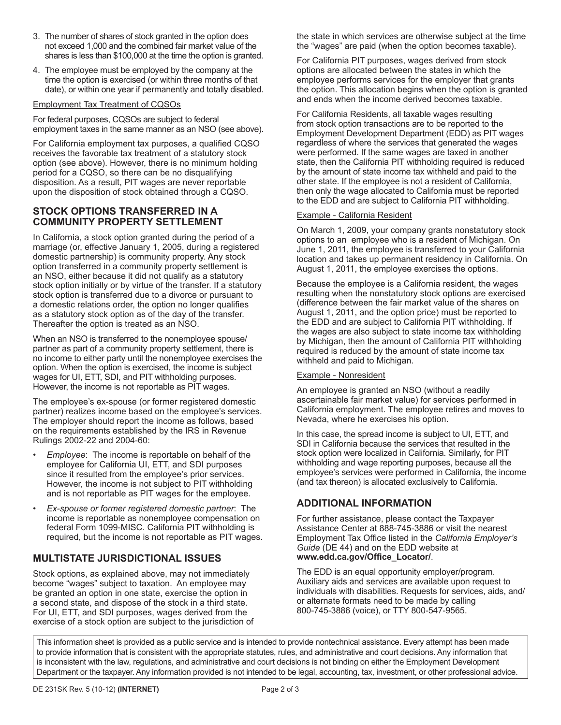- 3. The number of shares of stock granted in the option does not exceed 1,000 and the combined fair market value of the shares is less than \$100,000 at the time the option is granted.
- 4. The employee must be employed by the company at the time the option is exercised (or within three months of that date), or within one year if permanently and totally disabled.

#### Employment Tax Treatment of CQSOs

For federal purposes, CQSOs are subject to federal employment taxes in the same manner as an NSO (see above).

For California employment tax purposes, a qualified CQSO receives the favorable tax treatment of a statutory stock option (see above). However, there is no minimum holding period for a CQSO, so there can be no disqualifying disposition. As a result, PIT wages are never reportable upon the disposition of stock obtained through a CQSO.

#### **STOCK OPTIONS TRANSFERRED IN A COMMUNITY PROPERTY SETTLEMENT**

In California, a stock option granted during the period of a marriage (or, effective January 1, 2005, during a registered domestic partnership) is community property. Any stock option transferred in a community property settlement is an NSO, either because it did not qualify as a statutory stock option initially or by virtue of the transfer. If a statutory stock option is transferred due to a divorce or pursuant to a domestic relations order, the option no longer qualifies as a statutory stock option as of the day of the transfer. Thereafter the option is treated as an NSO.

When an NSO is transferred to the nonemployee spouse/ partner as part of a community property settlement, there is no income to either party until the nonemployee exercises the option. When the option is exercised, the income is subject wages for UI, ETT, SDI, and PIT withholding purposes. However, the income is not reportable as PIT wages.

The employee's ex-spouse (or former registered domestic partner) realizes income based on the employee's services. The employer should report the income as follows, based on the requirements established by the IRS in Revenue Rulings 2002-22 and 2004-60:

- *Employee*: The income is reportable on behalf of the employee for California UI, ETT, and SDI purposes since it resulted from the employee's prior services. However, the income is not subject to PIT withholding and is not reportable as PIT wages for the employee.
- *Ex-spouse or former registered domestic partner*: The income is reportable as nonemployee compensation on federal Form 1099-MISC. California PIT withholding is required, but the income is not reportable as PIT wages.

## **MULTISTATE JURISDICTIONAL ISSUES**

Stock options, as explained above, may not immediately become "wages" subject to taxation. An employee may be granted an option in one state, exercise the option in a second state, and dispose of the stock in a third state. For UI, ETT, and SDI purposes, wages derived from the exercise of a stock option are subject to the jurisdiction of the state in which services are otherwise subject at the time the "wages" are paid (when the option becomes taxable).

For California PIT purposes, wages derived from stock options are allocated between the states in which the employee performs services for the employer that grants the option. This allocation begins when the option is granted and ends when the income derived becomes taxable.

For California Residents, all taxable wages resulting from stock option transactions are to be reported to the Employment Development Department (EDD) as PIT wages regardless of where the services that generated the wages were performed. If the same wages are taxed in another state, then the California PIT withholding required is reduced by the amount of state income tax withheld and paid to the other state. If the employee is not a resident of California, then only the wage allocated to California must be reported to the EDD and are subject to California PIT withholding.

#### Example - California Resident

On March 1, 2009, your company grants nonstatutory stock options to an employee who is a resident of Michigan. On June 1, 2011, the employee is transferred to your California location and takes up permanent residency in California. On August 1, 2011, the employee exercises the options.

Because the employee is a California resident, the wages resulting when the nonstatutory stock options are exercised (difference between the fair market value of the shares on August 1, 2011, and the option price) must be reported to the EDD and are subject to California PIT withholding. If the wages are also subject to state income tax withholding by Michigan, then the amount of California PIT withholding required is reduced by the amount of state income tax withheld and paid to Michigan.

#### Example - Nonresident

An employee is granted an NSO (without a readily ascertainable fair market value) for services performed in California employment. The employee retires and moves to Nevada, where he exercises his option.

In this case, the spread income is subject to UI, ETT, and SDI in California because the services that resulted in the stock option were localized in California. Similarly, for PIT withholding and wage reporting purposes, because all the employee's services were performed in California, the income (and tax thereon) is allocated exclusively to California.

## **ADDITIONAL INFORMATION**

For further assistance, please contact the Taxpayer Assistance Center at 888-745-3886 or visit the nearest Employment Tax Office listed in the *California Employer's Guide* (DE 44) and on the EDD website at **[www.edd.ca.gov/Of](www.edd.ca.gov/Offi)fice\_Locator/**.

The EDD is an equal opportunity employer/program. Auxiliary aids and services are available upon request to individuals with disabilities. Requests for services, aids, and/ or alternate formats need to be made by calling 800-745-3886 (voice), or TTY 800-547-9565.

This information sheet is provided as a public service and is intended to provide nontechnical assistance. Every attempt has been made to provide information that is consistent with the appropriate statutes, rules, and administrative and court decisions. Any information that is inconsistent with the law, regulations, and administrative and court decisions is not binding on either the Employment Development Department or the taxpayer. Any information provided is not intended to be legal, accounting, tax, investment, or other professional advice.